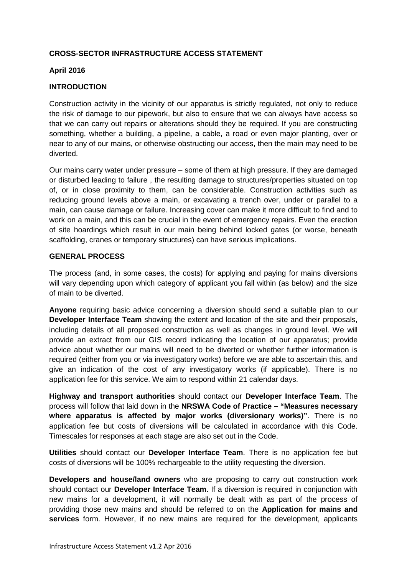# **CROSS-SECTOR INFRASTRUCTURE ACCESS STATEMENT**

## **April 2016**

## **INTRODUCTION**

Construction activity in the vicinity of our apparatus is strictly regulated, not only to reduce the risk of damage to our pipework, but also to ensure that we can always have access so that we can carry out repairs or alterations should they be required. If you are constructing something, whether a building, a pipeline, a cable, a road or even major planting, over or near to any of our mains, or otherwise obstructing our access, then the main may need to be diverted.

Our mains carry water under pressure – some of them at high pressure. If they are damaged or disturbed leading to failure , the resulting damage to structures/properties situated on top of, or in close proximity to them, can be considerable. Construction activities such as reducing ground levels above a main, or excavating a trench over, under or parallel to a main, can cause damage or failure. Increasing cover can make it more difficult to find and to work on a main, and this can be crucial in the event of emergency repairs. Even the erection of site hoardings which result in our main being behind locked gates (or worse, beneath scaffolding, cranes or temporary structures) can have serious implications.

### **GENERAL PROCESS**

The process (and, in some cases, the costs) for applying and paying for mains diversions will vary depending upon which category of applicant you fall within (as below) and the size of main to be diverted.

**Anyone** requiring basic advice concerning a diversion should send a suitable plan to our **Developer Interface Team** showing the extent and location of the site and their proposals, including details of all proposed construction as well as changes in ground level. We will provide an extract from our GIS record indicating the location of our apparatus; provide advice about whether our mains will need to be diverted or whether further information is required (either from you or via investigatory works) before we are able to ascertain this, and give an indication of the cost of any investigatory works (if applicable). There is no application fee for this service. We aim to respond within 21 calendar days.

**Highway and transport authorities** should contact our **Developer Interface Team**. The process will follow that laid down in the **NRSWA Code of Practice – "Measures necessary where apparatus is affected by major works (diversionary works)"**. There is no application fee but costs of diversions will be calculated in accordance with this Code. Timescales for responses at each stage are also set out in the Code.

**Utilities** should contact our **Developer Interface Team**. There is no application fee but costs of diversions will be 100% rechargeable to the utility requesting the diversion.

**Developers and house/land owners** who are proposing to carry out construction work should contact our **Developer Interface Team**. If a diversion is required in conjunction with new mains for a development, it will normally be dealt with as part of the process of providing those new mains and should be referred to on the **Application for mains and services** form. However, if no new mains are required for the development, applicants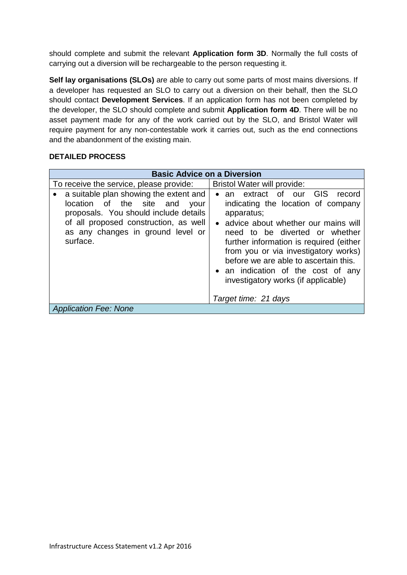should complete and submit the relevant **Application form 3D**. Normally the full costs of carrying out a diversion will be rechargeable to the person requesting it.

**Self lay organisations (SLOs)** are able to carry out some parts of most mains diversions. If a developer has requested an SLO to carry out a diversion on their behalf, then the SLO should contact **Development Services**. If an application form has not been completed by the developer, the SLO should complete and submit **Application form 4D**. There will be no asset payment made for any of the work carried out by the SLO, and Bristol Water will require payment for any non-contestable work it carries out, such as the end connections and the abandonment of the existing main.

# **DETAILED PROCESS**

| <b>Basic Advice on a Diversion</b>                                                                                                                                                                            |                                                                                                                                                                                                                                                                                                                                                                            |  |  |  |
|---------------------------------------------------------------------------------------------------------------------------------------------------------------------------------------------------------------|----------------------------------------------------------------------------------------------------------------------------------------------------------------------------------------------------------------------------------------------------------------------------------------------------------------------------------------------------------------------------|--|--|--|
| To receive the service, please provide:                                                                                                                                                                       | <b>Bristol Water will provide:</b>                                                                                                                                                                                                                                                                                                                                         |  |  |  |
| a suitable plan showing the extent and<br>location of the site and<br>your<br>proposals. You should include details<br>of all proposed construction, as well<br>as any changes in ground level or<br>surface. | extract of our GIS<br>record<br>an<br>indicating the location of company<br>apparatus;<br>• advice about whether our mains will<br>need to be diverted or whether<br>further information is required (either<br>from you or via investigatory works)<br>before we are able to ascertain this.<br>• an indication of the cost of any<br>investigatory works (if applicable) |  |  |  |
| Target time: 21 days                                                                                                                                                                                          |                                                                                                                                                                                                                                                                                                                                                                            |  |  |  |
| <b>Application Fee: None</b>                                                                                                                                                                                  |                                                                                                                                                                                                                                                                                                                                                                            |  |  |  |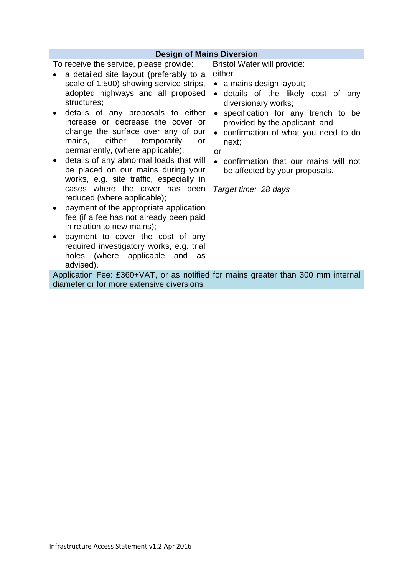| <b>Design of Mains Diversion</b>                                                                                              |                                                                                                                                                                                                                                                                                                                                                                                                                                                                                                                                                                                                                                                                                                                                                                           |                                                                                                                                                                                                                                                                                                                                                        |  |  |  |
|-------------------------------------------------------------------------------------------------------------------------------|---------------------------------------------------------------------------------------------------------------------------------------------------------------------------------------------------------------------------------------------------------------------------------------------------------------------------------------------------------------------------------------------------------------------------------------------------------------------------------------------------------------------------------------------------------------------------------------------------------------------------------------------------------------------------------------------------------------------------------------------------------------------------|--------------------------------------------------------------------------------------------------------------------------------------------------------------------------------------------------------------------------------------------------------------------------------------------------------------------------------------------------------|--|--|--|
|                                                                                                                               | To receive the service, please provide:                                                                                                                                                                                                                                                                                                                                                                                                                                                                                                                                                                                                                                                                                                                                   | Bristol Water will provide:                                                                                                                                                                                                                                                                                                                            |  |  |  |
| ٠                                                                                                                             | a detailed site layout (preferably to a<br>scale of 1:500) showing service strips,<br>adopted highways and all proposed<br>structures;<br>details of any proposals to either<br>increase or decrease the cover or<br>change the surface over any of our<br>either<br>temporarily<br>mains,<br>or<br>permanently, (where applicable);<br>details of any abnormal loads that will<br>be placed on our mains during your<br>works, e.g. site traffic, especially in<br>cases where the cover has been<br>reduced (where applicable);<br>payment of the appropriate application<br>fee (if a fee has not already been paid<br>in relation to new mains);<br>payment to cover the cost of any<br>required investigatory works, e.g. trial<br>holes (where applicable and<br>as | either<br>• a mains design layout;<br>• details of the likely cost of any<br>diversionary works;<br>• specification for any trench to be<br>provided by the applicant, and<br>confirmation of what you need to do<br>next;<br><b>or</b><br>confirmation that our mains will not<br>$\bullet$<br>be affected by your proposals.<br>Target time: 28 days |  |  |  |
|                                                                                                                               | advised).                                                                                                                                                                                                                                                                                                                                                                                                                                                                                                                                                                                                                                                                                                                                                                 |                                                                                                                                                                                                                                                                                                                                                        |  |  |  |
| Application Fee: £360+VAT, or as notified for mains greater than 300 mm internal<br>diameter or for more extensive diversions |                                                                                                                                                                                                                                                                                                                                                                                                                                                                                                                                                                                                                                                                                                                                                                           |                                                                                                                                                                                                                                                                                                                                                        |  |  |  |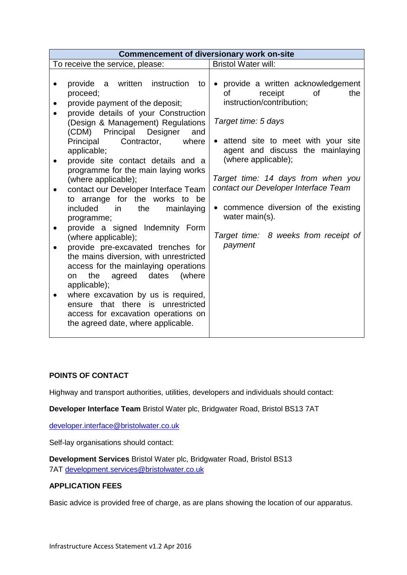| <b>Commencement of diversionary work on-site</b>                                                                                                                                                                                                                                                                                                                                                                                                                                                                                                                                                                                                                                                                                                                                                                                                                                                  |                                                                                                                                                                                                                                                                                                                                                                                                                                       |  |  |  |
|---------------------------------------------------------------------------------------------------------------------------------------------------------------------------------------------------------------------------------------------------------------------------------------------------------------------------------------------------------------------------------------------------------------------------------------------------------------------------------------------------------------------------------------------------------------------------------------------------------------------------------------------------------------------------------------------------------------------------------------------------------------------------------------------------------------------------------------------------------------------------------------------------|---------------------------------------------------------------------------------------------------------------------------------------------------------------------------------------------------------------------------------------------------------------------------------------------------------------------------------------------------------------------------------------------------------------------------------------|--|--|--|
| To receive the service, please:                                                                                                                                                                                                                                                                                                                                                                                                                                                                                                                                                                                                                                                                                                                                                                                                                                                                   | <b>Bristol Water will:</b>                                                                                                                                                                                                                                                                                                                                                                                                            |  |  |  |
| written instruction<br>provide<br>a<br>to<br>proceed;<br>provide payment of the deposit;<br>provide details of your Construction<br>(Design & Management) Regulations<br>(CDM) Principal Designer<br>and<br>Principal<br>Contractor,<br>where<br>applicable;<br>provide site contact details and a<br>programme for the main laying works<br>(where applicable);<br>contact our Developer Interface Team<br>to arrange for the works to be<br>included<br>in<br>the<br>mainlaying<br>programme;<br>provide a signed Indemnity Form<br>(where applicable);<br>provide pre-excavated trenches for<br>the mains diversion, with unrestricted<br>access for the mainlaying operations<br>dates (where<br>the<br>agreed<br>on<br>applicable);<br>where excavation by us is required,<br>ensure that there is unrestricted<br>access for excavation operations on<br>the agreed date, where applicable. | • provide a written acknowledgement<br>receipt<br>οf<br><b>of</b><br>the<br>instruction/contribution;<br>Target time: 5 days<br>• attend site to meet with your site<br>agent and discuss the mainlaying<br>(where applicable);<br>Target time: 14 days from when you<br>contact our Developer Interface Team<br>commence diversion of the existing<br>$\bullet$<br>water main(s).<br>Target time: 8 weeks from receipt of<br>payment |  |  |  |

# **POINTS OF CONTACT**

Highway and transport authorities, utilities, developers and individuals should contact:

**Developer Interface Team** Bristol Water plc, Bridgwater Road, Bristol BS13 7AT

[developer.interface@bristolwater.co.uk](mailto:developer.interface@bristolwater.co.uk)

Self-lay organisations should contact:

**Development Services** Bristol Water plc, Bridgwater Road, Bristol BS13 7AT [development.services@bristolwater.co.uk](mailto:development.services@bristolwater.co.uk)

### **APPLICATION FEES**

Basic advice is provided free of charge, as are plans showing the location of our apparatus.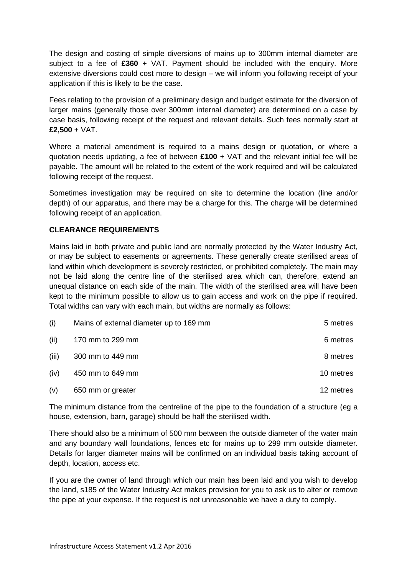The design and costing of simple diversions of mains up to 300mm internal diameter are subject to a fee of **£360** + VAT. Payment should be included with the enquiry. More extensive diversions could cost more to design – we will inform you following receipt of your application if this is likely to be the case.

Fees relating to the provision of a preliminary design and budget estimate for the diversion of larger mains (generally those over 300mm internal diameter) are determined on a case by case basis, following receipt of the request and relevant details. Such fees normally start at **£2,500** + VAT.

Where a material amendment is required to a mains design or quotation, or where a quotation needs updating, a fee of between **£100** + VAT and the relevant initial fee will be payable. The amount will be related to the extent of the work required and will be calculated following receipt of the request.

Sometimes investigation may be required on site to determine the location (line and/or depth) of our apparatus, and there may be a charge for this. The charge will be determined following receipt of an application.

## **CLEARANCE REQUIREMENTS**

Mains laid in both private and public land are normally protected by the Water Industry Act, or may be subject to easements or agreements. These generally create sterilised areas of land within which development is severely restricted, or prohibited completely. The main may not be laid along the centre line of the sterilised area which can, therefore, extend an unequal distance on each side of the main. The width of the sterilised area will have been kept to the minimum possible to allow us to gain access and work on the pipe if required. Total widths can vary with each main, but widths are normally as follows:

| (i)   | Mains of external diameter up to 169 mm | 5 metres  |
|-------|-----------------------------------------|-----------|
| (ii)  | 170 mm to 299 mm                        | 6 metres  |
| (iii) | 300 mm to 449 mm                        | 8 metres  |
| (iv)  | 450 mm to 649 mm                        | 10 metres |
| (v)   | 650 mm or greater                       | 12 metres |

The minimum distance from the centreline of the pipe to the foundation of a structure (eg a house, extension, barn, garage) should be half the sterilised width.

There should also be a minimum of 500 mm between the outside diameter of the water main and any boundary wall foundations, fences etc for mains up to 299 mm outside diameter. Details for larger diameter mains will be confirmed on an individual basis taking account of depth, location, access etc.

If you are the owner of land through which our main has been laid and you wish to develop the land, s185 of the Water Industry Act makes provision for you to ask us to alter or remove the pipe at your expense. If the request is not unreasonable we have a duty to comply.